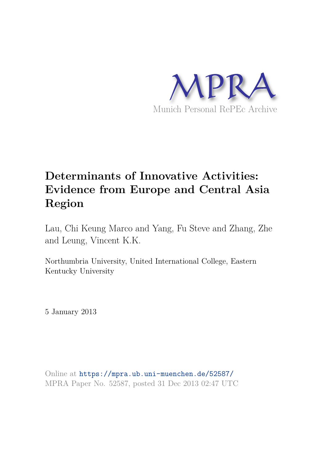

# **Determinants of Innovative Activities: Evidence from Europe and Central Asia Region**

Lau, Chi Keung Marco and Yang, Fu Steve and Zhang, Zhe and Leung, Vincent K.K.

Northumbria University, United International College, Eastern Kentucky University

5 January 2013

Online at https://mpra.ub.uni-muenchen.de/52587/ MPRA Paper No. 52587, posted 31 Dec 2013 02:47 UTC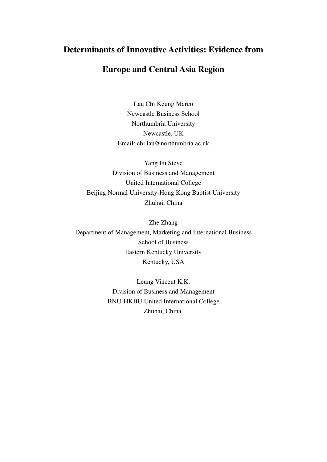# **Determinants of Innovative Activities: Evidence from**

# **Europe and Central Asia Region**

Lau Chi Keung Marco Newcastle Business School Northumbria University Newcastle, UK Email: chi.lau@northumbria.ac.uk

Yang Fu Steve Division of Business and Management United International College Beijing Normal University-Hong Kong Baptist University Zhuhai, China

Zhe Zhang Department of Management, Marketing and International Business School of Business Eastern Kentucky University Kentucky, USA

> Leung Vincent K.K. Division of Business and Management BNU-HKBU United International College Zhuhai, China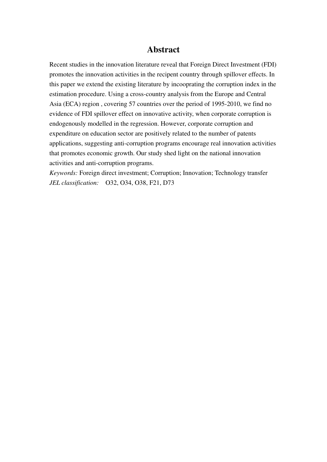# **Abstract**

Recent studies in the innovation literature reveal that Foreign Direct Investment (FDI) promotes the innovation activities in the recipent country through spillover effects. In this paper we extend the existing literature by incooprating the corruption index in the estimation procedure. Using a cross-country analysis from the Europe and Central Asia (ECA) region , covering 57 countries over the period of 1995-2010, we find no evidence of FDI spillover effect on innovative activity, when corporate corruption is endogenously modelled in the regression. However, corporate corruption and expenditure on education sector are positively related to the number of patents applications, suggesting anti-corruption programs encourage real innovation activities that promotes economic growth. Our study shed light on the national innovation activities and anti-corruption programs.

*Keywords:* Foreign direct investment; Corruption; Innovation; Technology transfer *JEL classification:*O32, O34, O38, F21, D73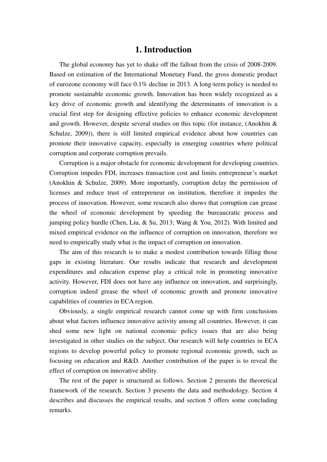## **1. Introduction**

The global economy has yet to shake off the fallout from the crisis of 2008-2009. Based on estimation of the International Monetary Fund, the gross domestic product of eurozone economy will face 0.1% decline in 2013. A long-term policy is needed to promote sustainable economic growth. Innovation has been widely recognized as a key drive of economic growth and identifying the determinants of innovation is a crucial first step for designing effective policies to enhance economic development and growth. However, despite several studies on this topic (for instance, (Anokhin & Schulze, 2009)), there is still limited empirical evidence about how countries can promote their innovative capacity, especially in emerging countries where political corruption and corporate corruption prevails.

Corruption is a major obstacle for economic development for developing countries. Corruption impedes FDI, increases transaction cost and limits entrepreneur's market (Anokhin & Schulze, 2009). More importantly, corruption delay the permission of licenses and reduce trust of entrepreneur on institution, therefore it impedes the process of innovation. However, some research also shows that corruption can grease the wheel of economic development by speeding the bureaucratic process and jumping policy hurdle (Chen, Liu, & Su, 2013; Wang & You, 2012). With limited and mixed empirical evidence on the influence of corruption on innovation, therefore we need to empirically study what is the impact of corruption on innovation.

The aim of this research is to make a modest contribution towards filling those gaps in existing literature. Our results indicate that research and development expenditures and education expense play a critical role in promoting innovative activity. However, FDI does not have any influence on innovation, and surprisingly, corruption indeed grease the wheel of economic growth and promote innovative capabilities of countries in ECA region.

Obviously, a single empirical research cannot come up with firm conclusions about what factors influence innovative activity among all countries. However, it can shed some new light on national economic policy issues that are also being investigated in other studies on the subject. Our research will help countries in ECA regions to develop powerful policy to promote regional economic growth, such as focusing on education and R&D. Another contribution of the paper is to reveal the effect of corruption on innovative ability.

The rest of the paper is structured as follows. Section 2 presents the theoretical framework of the research. Section 3 presents the data and methodology. Section 4 describes and discusses the empirical results, and section 5 offers some concluding remarks.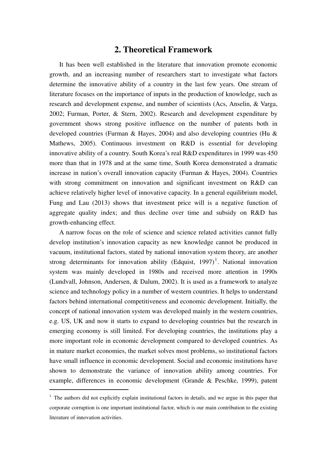## **2. Theoretical Framework**

It has been well established in the literature that innovation promote economic growth, and an increasing number of researchers start to investigate what factors determine the innovative ability of a country in the last few years. One stream of literature focuses on the importance of inputs in the production of knowledge, such as research and development expense, and number of scientists (Acs, Anselin, & Varga, 2002; Furman, Porter, & Stern, 2002). Research and development expenditure by government shows strong positive influence on the number of patents both in developed countries (Furman & Hayes, 2004) and also developing countries (Hu & Mathews, 2005). Continuous investment on R&D is essential for developing innovative ability of a country. South Korea's real R&D expenditures in 1999 was 450 more than that in 1978 and at the same time, South Korea demonstrated a dramatic increase in nation's overall innovation capacity (Furman & Hayes, 2004). Countries with strong commitment on innovation and significant investment on R&D can achieve relatively higher level of innovative capacity. In a general equilibrium model, Fung and Lau (2013) shows that investment price will is a negative function of aggregate quality index; and thus decline over time and subsidy on R&D has growth-enhancing effect.

A narrow focus on the role of science and science related activities cannot fully develop institution's innovation capacity as new knowledge cannot be produced in vacuum, institutional factors, stated by national innovation system theory, are another strong determinants for innovation ability (Edquist, 1997)<sup>1</sup>. National innovation system was mainly developed in 1980s and received more attention in 1990s (Lundvall, Johnson, Andersen, & Dalum, 2002). It is used as a framework to analyze science and technology policy in a number of western countries. It helps to understand factors behind international competitiveness and economic development. Initially, the concept of national innovation system was developed mainly in the western countries, e.g. US, UK and now it starts to expand to developing countries but the research in emerging economy is still limited. For developing countries, the institutions play a more important role in economic development compared to developed countries. As in mature market economies, the market solves most problems, so institutional factors have small influence in economic development. Social and economic institutions have shown to demonstrate the variance of innovation ability among countries. For example, differences in economic development (Grande & Peschke, 1999), patent

<sup>&</sup>lt;sup>1</sup> The authors did not explicitly explain institutional factors in details, and we argue in this paper that corporate corruption is one important institutional factor, which is our main contribution to the existing literature of innovation activities.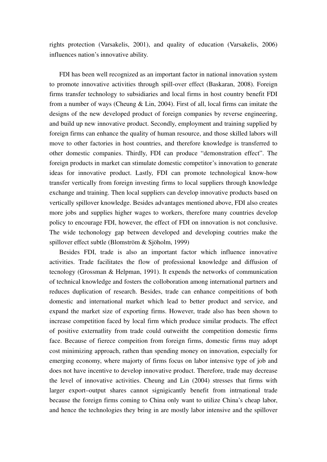rights protection (Varsakelis, 2001), and quality of education (Varsakelis, 2006) influences nation's innovative ability.

FDI has been well recognized as an important factor in national innovation system to promote innovative activities through spill-over effect (Baskaran, 2008). Foreign firms transfer technology to subsidiaries and local firms in host country benefit FDI from a number of ways (Cheung & Lin, 2004). First of all, local firms can imitate the designs of the new developed product of foreign companies by reverse engineering, and build up new innovative product. Secondly, employment and training supplied by foreign firms can enhance the quality of human resource, and those skilled labors will move to other factories in host countries, and therefore knowledge is transferred to other domestic companies. Thirdly, FDI can produce "demonstration effect". The foreign products in market can stimulate domestic competitor's innovation to generate ideas for innovative product. Lastly, FDI can promote technological know-how transfer vertically from foreign investing firms to local suppliers through knowledge exchange and training. Then local suppliers can develop innovative products based on vertically spillover knowledge. Besides advantages mentioned above, FDI also creates more jobs and supplies higher wages to workers, therefore many countries develop policy to encourage FDI, however, the effect of FDI on innovation is not conclusive. The wide techonology gap between developed and developing coutries make the spillover effect subtle (Blomström & Sjöholm, 1999)

Besides FDI, trade is also an important factor which influence innovative activities. Trade facilitates the flow of professional knowledge and diffusion of tecnology (Grossman & Helpman, 1991). It expends the networks of communication of technical knowledge and fosters the colloboration among international partners and reduces duplication of research. Besides, trade can enhance compeititions of both domestic and international market which lead to better product and service, and expand the market size of exporting firms. However, trade also has been shown to increase competition faced by local firm which produce similar products. The effect of positive externatlity from trade could outweitht the competition domestic firms face. Because of fierece compeition from foreign firms, domestic firms may adopt cost minimizing approach, rathen than spending money on innovation, especially for emerging economy, where majorty of firms focus on labor intensive type of job and does not have incentive to develop innovative product. Therefore, trade may decrease the level of innovative activities. Cheung and Lin (2004) stresses that firms with larger export–output shares cannot signigicantly benefit from intrnational trade because the foreign firms coming to China only want to utilize China's cheap labor, and hence the technologies they bring in are mostly labor intensive and the spillover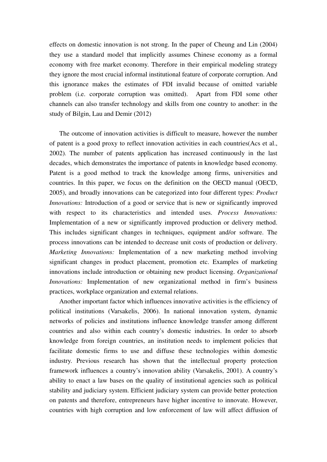effects on domestic innovation is not strong. In the paper of Cheung and Lin (2004) they use a standard model that implicitly assumes Chinese economy as a formal economy with free market economy. Therefore in their empirical modeling strategy they ignore the most crucial informal institutional feature of corporate corruption. And this ignorance makes the estimates of FDI invalid because of omitted variable problem (i.e. corporate corruption was omitted). Apart from FDI some other channels can also transfer technology and skills from one country to another: in the study of Bilgin, Lau and Demir (2012)

The outcome of innovation activities is difficult to measure, however the number of patent is a good proxy to reflect innovation activities in each countries(Acs et al., 2002). The number of patents application has increased continuously in the last decades, which demonstrates the importance of patents in knowledge based economy. Patent is a good method to track the knowledge among firms, universities and countries. In this paper, we focus on the definition on the OECD manual (OECD, 2005), and broadly innovations can be categorized into four different types: *Product Innovations:* Introduction of a good or service that is new or significantly improved with respect to its characteristics and intended uses. *Process Innovations:*  Implementation of a new or significantly improved production or delivery method. This includes significant changes in techniques, equipment and/or software. The process innovations can be intended to decrease unit costs of production or delivery. *Marketing Innovations:* Implementation of a new marketing method involving significant changes in product placement, promotion etc. Examples of marketing innovations include introduction or obtaining new product licensing. *Organizational Innovations:* Implementation of new organizational method in firm's business practices, workplace organization and external relations.

Another important factor which influences innovative activities is the efficiency of political institutions (Varsakelis, 2006). In national innovation system, dynamic networks of policies and institutions influence knowledge transfer among different countries and also within each country's domestic industries. In order to absorb knowledge from foreign countries, an institution needs to implement policies that facilitate domestic firms to use and diffuse these technologies within domestic industry. Previous research has shown that the intellectual property protection framework influences a country's innovation ability (Varsakelis, 2001). A country's ability to enact a law bases on the quality of institutional agencies such as political stability and judiciary system. Efficient judiciary system can provide better protection on patents and therefore, entrepreneurs have higher incentive to innovate. However, countries with high corruption and low enforcement of law will affect diffusion of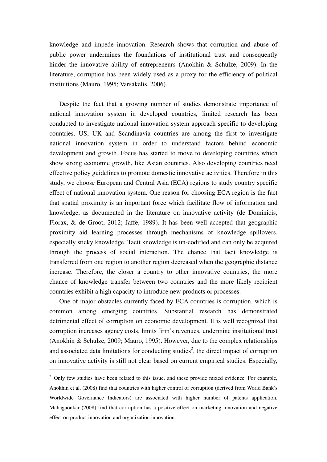knowledge and impede innovation. Research shows that corruption and abuse of public power undermines the foundations of institutional trust and consequently hinder the innovative ability of entrepreneurs (Anokhin & Schulze, 2009). In the literature, corruption has been widely used as a proxy for the efficiency of political institutions (Mauro, 1995; Varsakelis, 2006).

Despite the fact that a growing number of studies demonstrate importance of national innovation system in developed countries, limited research has been conducted to investigate national innovation system approach specific to developing countries. US, UK and Scandinavia countries are among the first to investigate national innovation system in order to understand factors behind economic development and growth. Focus has started to move to developing countries which show strong economic growth, like Asian countries. Also developing countries need effective policy guidelines to promote domestic innovative activities. Therefore in this study, we choose European and Central Asia (ECA) regions to study country specific effect of national innovation system. One reason for choosing ECA region is the fact that spatial proximity is an important force which facilitate flow of information and knowledge, as documented in the literature on innovative activity (de Dominicis, Florax, & de Groot, 2012; Jaffe, 1989). It has been well accepted that geographic proximity aid learning processes through mechanisms of knowledge spillovers, especially sticky knowledge. Tacit knowledge is un-codified and can only be acquired through the process of social interaction. The chance that tacit knowledge is transferred from one region to another region decreased when the geographic distance increase. Therefore, the closer a country to other innovative countries, the more chance of knowledge transfer between two countries and the more likely recipient countries exhibit a high capacity to introduce new products or processes.

One of major obstacles currently faced by ECA countries is corruption, which is common among emerging countries. Substantial research has demonstrated detrimental effect of corruption on economic development. It is well recognized that corruption increases agency costs, limits firm's revenues, undermine institutional trust (Anokhin & Schulze, 2009; Mauro, 1995). However, due to the complex relationships and associated data limitations for conducting studies<sup>2</sup>, the direct impact of corruption on innovative activity is still not clear based on current empirical studies. Especially,

 $2$  Only few studies have been related to this issue, and these provide mixed evidence. For example, Anokhin et al. (2008) find that countries with higher control of corruption (derived from World Bank's Worldwide Governance Indicators) are associated with higher number of patents application. Mahagaonkar (2008) find that corruption has a positive effect on marketing innovation and negative effect on product innovation and organization innovation.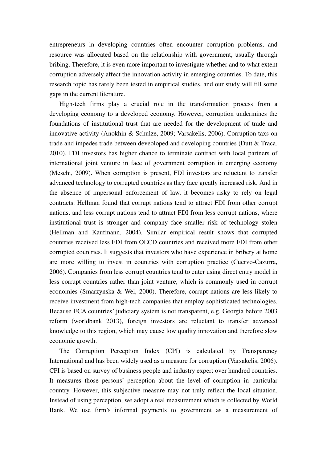entrepreneurs in developing countries often encounter corruption problems, and resource was allocated based on the relationship with government, usually through bribing. Therefore, it is even more important to investigate whether and to what extent corruption adversely affect the innovation activity in emerging countries. To date, this research topic has rarely been tested in empirical studies, and our study will fill some gaps in the current literature.

High-tech firms play a crucial role in the transformation process from a developing economy to a developed economy. However, corruption undermines the foundations of institutional trust that are needed for the development of trade and innovative activity (Anokhin & Schulze, 2009; Varsakelis, 2006). Corruption taxs on trade and impedes trade between deveoloped and developing countries (Dutt & Traca, 2010). FDI investors has higher chance to terminate contract with local partners of international joint venture in face of government corruption in emerging economy (Meschi, 2009). When corruption is present, FDI investors are reluctant to transfer advanced technology to corrupted countries as they face greatly increased risk. And in the absence of impersonal enforcement of law, it becomes risky to rely on legal contracts. Hellman found that corrupt nations tend to attract FDI from other corrupt nations, and less corrupt nations tend to attract FDI from less corrupt nations, where institutional trust is stronger and company face smaller risk of technology stolen (Hellman and Kaufmann, 2004). Similar empirical result shows that corrupted countries received less FDI from OECD countries and received more FDI from other corrupted countries. It suggests that investors who have experience in bribery at home are more willing to invest in countries with corruption practice (Cuervo-Cazurra, 2006). Companies from less corrupt countries tend to enter using direct entry model in less corrupt countries rather than joint venture, which is commonly used in corrupt economies (Smarzynska & Wei, 2000). Therefore, corrupt nations are less likely to receive investment from high-tech companies that employ sophisticated technologies. Because ECA countries' judiciary system is not transparent, e.g. Georgia before 2003 reform (worldbank 2013), foreign investors are reluctant to transfer advanced knowledge to this region, which may cause low quality innovation and therefore slow economic growth.

The Corruption Perception Index (CPI) is calculated by Transparency International and has been widely used as a measure for corruption (Varsakelis, 2006). CPI is based on survey of business people and industry expert over hundred countries. It measures those persons' perception about the level of corruption in particular country. However, this subjective measure may not truly reflect the local situation. Instead of using perception, we adopt a real measurement which is collected by World Bank. We use firm's informal payments to government as a measurement of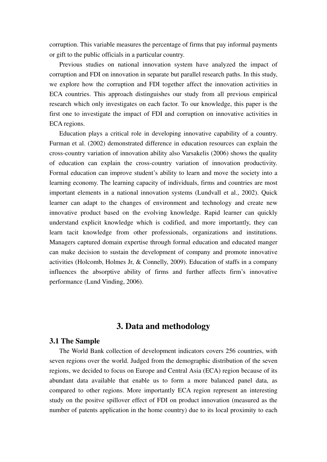corruption. This variable measures the percentage of firms that pay informal payments or gift to the public officials in a particular country.

Previous studies on national innovation system have analyzed the impact of corruption and FDI on innovation in separate but parallel research paths. In this study, we explore how the corruption and FDI together affect the innovation activities in ECA countries. This approach distinguishes our study from all previous empirical research which only investigates on each factor. To our knowledge, this paper is the first one to investigate the impact of FDI and corruption on innovative activities in ECA regions.

Education plays a critical role in developing innovative capability of a country. Furman et al. (2002) demonstrated difference in education resources can explain the cross-country variation of innovation ability also Varsakelis (2006) shows the quality of education can explain the cross-country variation of innovation productivity. Formal education can improve student's ability to learn and move the society into a learning economy. The learning capacity of individuals, firms and countries are most important elements in a national innovation systems (Lundvall et al., 2002). Quick learner can adapt to the changes of environment and technology and create new innovative product based on the evolving knowledge. Rapid learner can quickly understand explicit knowledge which is codified, and more importantly, they can learn tacit knowledge from other professionals, organizations and institutions. Managers captured domain expertise through formal education and educated manger can make decision to sustain the development of company and promote innovative activities (Holcomb, Holmes Jr, & Connelly, 2009). Education of staffs in a company influences the absorptive ability of firms and further affects firm's innovative performance (Lund Vinding, 2006).

# **3. Data and methodology**

## **3.1 The Sample**

The World Bank collection of development indicators covers 256 countries, with seven regions over the world. Judged from the demographic distribution of the seven regions, we decided to focus on Europe and Central Asia (ECA) region because of its abundant data available that enable us to form a more balanced panel data, as compared to other regions. More importantly ECA region represent an interesting study on the positve spillover effect of FDI on product innovation (measured as the number of patents application in the home country) due to its local proximity to each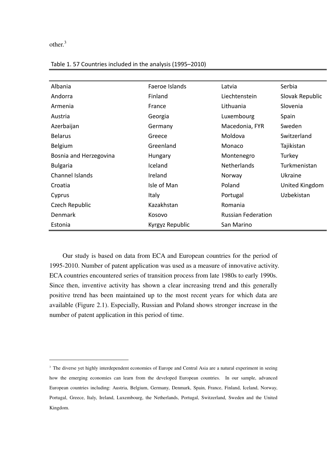other.<sup>3</sup>

| Albania                | Faeroe Islands  | Latvia                    | Serbia          |  |
|------------------------|-----------------|---------------------------|-----------------|--|
| Andorra                | Finland         | Liechtenstein             | Slovak Republic |  |
| Armenia                | France          | Lithuania                 | Slovenia        |  |
| Austria                | Georgia         | Luxembourg                | Spain           |  |
| Azerbaijan             | Germany         | Macedonia, FYR            | Sweden          |  |
| <b>Belarus</b>         | Greece          | Moldova                   | Switzerland     |  |
| Belgium                | Greenland       | Monaco                    | Tajikistan      |  |
| Bosnia and Herzegovina | Hungary         | Montenegro                | Turkey          |  |
| <b>Bulgaria</b>        | Iceland         | Netherlands               | Turkmenistan    |  |
| <b>Channel Islands</b> | Ireland         | Norway                    | Ukraine         |  |
| Croatia                | Isle of Man     | Poland                    | United Kingdom  |  |
| Cyprus                 | <b>Italy</b>    | Portugal                  | Uzbekistan      |  |
| Czech Republic         | Kazakhstan      | Romania                   |                 |  |
| <b>Denmark</b>         | Kosovo          | <b>Russian Federation</b> |                 |  |
| Estonia                | Kyrgyz Republic | San Marino                |                 |  |

Table 1. 57 Countries included in the analysis (1995–2010)

Our study is based on data from ECA and European countries for the period of 1995-2010. Number of patent application was used as a measure of innovative activity. ECA countries encountered series of transition process from late 1980s to early 1990s. Since then, inventive activity has shown a clear increasing trend and this generally positive trend has been maintained up to the most recent years for which data are available (Figure 2.1). Especially, Russian and Poland shows stronger increase in the number of patent application in this period of time.

<sup>&</sup>lt;sup>3</sup> The diverse yet highly interdependent economies of Europe and Central Asia are a natural experiment in seeing how the emerging economies can learn from the developed European countries. In our sample, advanced European countries including: Austria, Belgium, Germany, Denmark, Spain, France, Finland, Iceland, Norway, Portugal, Greece, Italy, Ireland, Luxembourg, the Netherlands, Portugal, Switzerland, Sweden and the United Kingdom.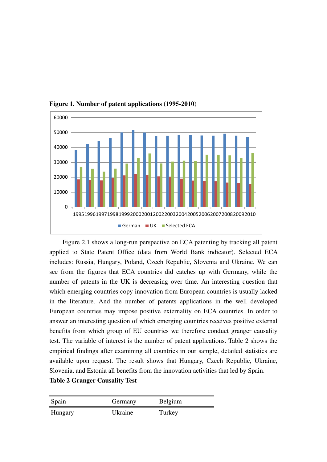

**Figure 1. Number of patent applications (1995-2010**)

Figure 2.1 shows a long-run perspective on ECA patenting by tracking all patent applied to State Patent Office (data from World Bank indicator). Selected ECA includes: Russia, Hungary, Poland, Czech Republic, Slovenia and Ukraine. We can see from the figures that ECA countries did catches up with Germany, while the number of patents in the UK is decreasing over time. An interesting question that which emerging countries copy innovation from European countries is usually lacked in the literature. And the number of patents applications in the well developed European countries may impose positive externality on ECA countries. In order to answer an interesting question of which emerging countries receives positive external benefits from which group of EU countries we therefore conduct granger causality test. The variable of interest is the number of patent applications. Table 2 shows the empirical findings after examining all countries in our sample, detailed statistics are available upon request. The result shows that Hungary, Czech Republic, Ukraine, Slovenia, and Estonia all benefits from the innovation activities that led by Spain. **Table 2 Granger Causality Test** 

| Spain   | Germany | <b>Belgium</b> |
|---------|---------|----------------|
| Hungary | Ukraine | Turkey         |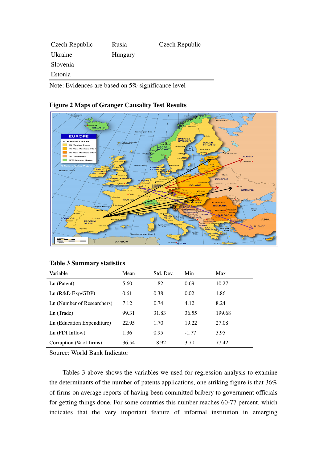| Czech Republic | Rusia   | Czech Republic |
|----------------|---------|----------------|
| Ukraine        | Hungary |                |
| Slovenia       |         |                |
| Estonia        |         |                |
|                |         |                |

Note: Evidences are based on 5% significance level



# **Figure 2 Maps of Granger Causality Test Results**

### **Table 3 Summary statistics**

| Variable                   | Mean  | Std. Dev. | Min     | Max    |
|----------------------------|-------|-----------|---------|--------|
| Ln (Patent)                | 5.60  | 1.82      | 0.69    | 10.27  |
| Ln (R&D Exp/GDP)           | 0.61  | 0.38      | 0.02    | 1.86   |
| Ln (Number of Researchers) | 7.12  | 0.74      | 4.12    | 8.24   |
| Ln (Trade)                 | 99.31 | 31.83     | 36.55   | 199.68 |
| Ln (Education Expenditure) | 22.95 | 1.70      | 19.22   | 27.08  |
| $Ln$ (FDI Inflow)          | 1.36  | 0.95      | $-1.77$ | 3.95   |
| Corruption ( $%$ of firms) | 36.54 | 18.92     | 3.70    | 77.42  |

Source: World Bank Indicator

Tables 3 above shows the variables we used for regression analysis to examine the determinants of the number of patents applications, one striking figure is that 36% of firms on average reports of having been committed bribery to government officials for getting things done. For some countries this number reaches 60-77 percent, which indicates that the very important feature of informal institution in emerging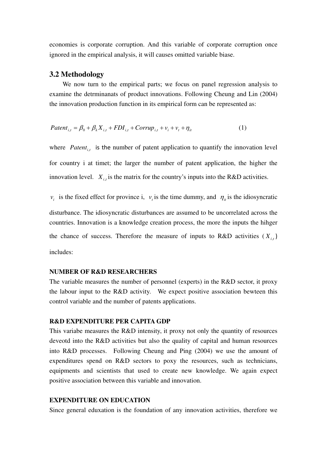economies is corporate corruption. And this variable of corporate corruption once ignored in the empirical analysis, it will causes omitted variable biase.

## **3.2 Methodology**

We now turn to the empirical parts; we focus on panel regression analysis to examine the detrminanats of product innovations. Following Cheung and Lin (2004) the innovation production function in its empirical form can be represented as:

$$
Patent_{i,t} = \beta_0 + \beta_k X_{i,t} + FDI_{i,t} + Corrup_{i,t} + v_i + v_t + \eta_i
$$
 (1)

where  $Patent_{i,t}$  is the number of patent application to quantify the innovation level for country i at timet; the larger the number of patent application, the higher the innovation level.  $X_{i,t}$  is the matrix for the country's inputs into the R&D activities.

 $v_i$  is the fixed effect for province i,  $v_i$  is the time dummy, and  $\eta_i$  is the idiosyncratic

disturbance. The idiosyncratic disturbances are assumed to be uncorrelated across the countries. Innovation is a knowledge creation process, the more the inputs the hihger the chance of success. Therefore the measure of inputs to  $R&D$  activities  $(X_{i,t})$ includes:

#### **NUMBER OF R&D RESEARCHERS**

The variable measures the number of personnel (experts) in the R&D sector, it proxy the labour input to the R&D activity. We expect positive association bewteen this control variable and the number of patents applications.

### **R&D EXPENDITURE PER CAPITA GDP**

This variabe measures the R&D intensity, it proxy not only the quantity of resources deveotd into the R&D activities but also the quality of capital and human resources into R&D processes. Following Cheung and Ping (2004) we use the amount of expenditures spend on R&D sectors to poxy the resources, such as technicians, equipments and scientists that used to create new knowledge. We again expect positive association between this variable and innovation.

## **EXPENDITURE ON EDUCATION**

Since general eduxation is the foundation of any innovation activities, therefore we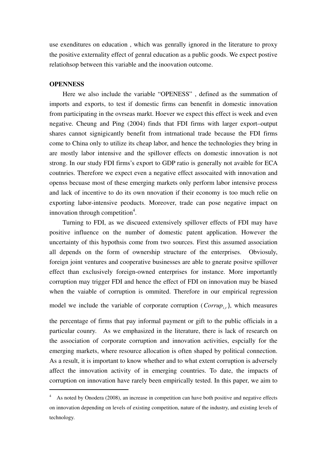use exenditures on education , which was genrally ignored in the literature to proxy the positive externality effect of genral education as a public goods. We expect postive relatiohsop between this variable and the inoovation outcome.

## **OPENNESS**

Here we also include the variable "OPENESS" , defined as the summation of imports and exports, to test if domestic firms can benenfit in domestic innovation from participating in the ovrseas markt. Hoever we expect this effect is week and even negative. Cheung and Ping (2004) finds that FDI firms with larger export–output shares cannot signigicantly benefit from intrnational trade because the FDI firms come to China only to utilize its cheap labor, and hence the technologies they bring in are mostly labor intensive and the spillover effects on domestic innovation is not strong. In our study FDI firms's export to GDP ratio is generally not avaible for ECA coutnries. Therefore we expect even a negative effect assocaited with innovation and openss becuase most of these emerging markets only perform labor intensive process and lack of incentive to do its own nnovation if their economy is too much relie on exporting labor-intensive peoducts. Moreover, trade can pose negative impact on innovation through competition<sup>4</sup>.

Turning to FDI, as we discueed extensively spillover effects of FDI may have positive influence on the number of domestic patent application. However the uncertainty of this hypothsis come from two sources. First this assumed association all depends on the form of ownership structure of the enterprises. Obviosuly, foreign joint ventures and cooperative businesses are able to gnerate positve spillover effect than exclusively foreign-owned enterprises for instance. More importantly corruption may trigger FDI and hence the effect of FDI on innovation may be biased when the vaiable of corruption is ommited. Therefore in our empirical regression model we include the variable of corporate corruption ( $Corrup_{i,t}$ ), which measures

the percentage of firms that pay informal payment or gift to the public officials in a particular counry. As we emphasized in the literature, there is lack of research on the association of corporate corruption and innovation activities, espcially for the emerging markets, where resource allocation is often shaped by political connection. As a result, it is important to know whether and to what extent corruption is adversely affect the innovation activity of in emerging countries. To date, the impacts of corruption on innovation have rarely been empirically tested. In this paper, we aim to

<sup>&</sup>lt;sup>4</sup> As noted by Onodera (2008), an increase in competition can have both positive and negative effects on innovation depending on levels of existing competition, nature of the industry, and existing levels of technology.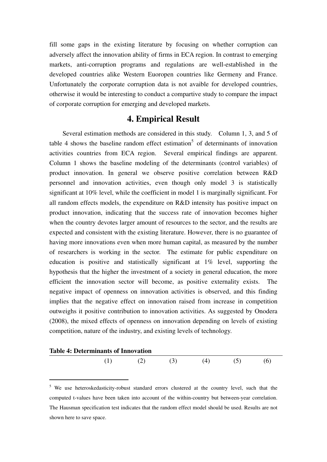fill some gaps in the existing literature by focusing on whether corruption can adversely affect the innovation ability of firms in ECA region. In contrast to emerging markets, anti-corruption programs and regulations are well-established in the developed countries alike Western Euoropen countries like Germeny and France. Unfortunately the corporate corruption data is not avaible for developed countries, otherwise it would be interesting to conduct a compartive study to compare the impact of corporate corruption for emerging and developed markets.

# **4. Empirical Result**

 Several estimation methods are considered in this study. Column 1, 3, and 5 of table 4 shows the baseline random effect estimation<sup>5</sup> of determinants of innovation activities countries from ECA region. Several empirical findings are apparent. Column 1 shows the baseline modeling of the determinants (control variables) of product innovation. In general we observe positive correlation between R&D personnel and innovation activities, even though only model 3 is statistically significant at 10% level, while the coefficient in model 1 is marginally significant. For all random effects models, the expenditure on R&D intensity has positive impact on product innovation, indicating that the success rate of innovation becomes higher when the country devotes larger amount of resources to the sector, and the results are expected and consistent with the existing literature. However, there is no guarantee of having more innovations even when more human capital, as measured by the number of researchers is working in the sector. The estimate for public expenditure on education is positive and statistically significant at 1% level, supporting the hypothesis that the higher the investment of a society in general education, the more efficient the innovation sector will become, as positive externality exists. The negative impact of openness on innovation activities is observed, and this finding implies that the negative effect on innovation raised from increase in competition outweighs it positive contribution to innovation activities. As suggested by Onodera (2008), the mixed effects of openness on innovation depending on levels of existing competition, nature of the industry, and existing levels of technology.

## **Table 4: Determinants of Innovation**



<sup>&</sup>lt;sup>5</sup> We use heteroskedasticity-robust standard errors clustered at the country level, such that the computed t-values have been taken into account of the within-country but between-year correlation. The Hausman specification test indicates that the random effect model should be used. Results are not shown here to save space.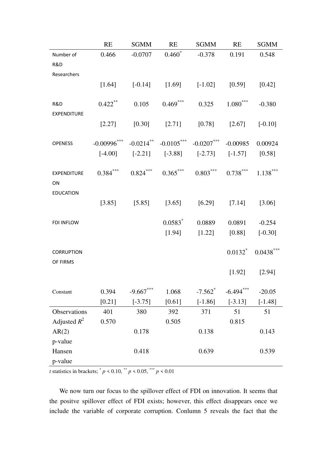|                    | <b>RE</b>         | <b>SGMM</b> | RE                                                                | SGMM                        | RE          | <b>SGMM</b>               |
|--------------------|-------------------|-------------|-------------------------------------------------------------------|-----------------------------|-------------|---------------------------|
| Number of          | 0.466             |             | $-0.0707$ $0.460^*$ $-0.378$ $0.191$                              |                             |             | 0.548                     |
| R&D                |                   |             |                                                                   |                             |             |                           |
| Researchers        |                   |             |                                                                   |                             |             |                           |
|                    |                   |             | $[1.64]$ $[-0.14]$ $[1.69]$ $[-1.02]$ $[0.59]$ $[0.42]$           |                             |             |                           |
|                    |                   |             |                                                                   |                             |             |                           |
| R&D                | $0.422$ **        |             | $0.105$ $0.469$ *** $0.325$ $1.080$ ***                           |                             |             | $-0.380$                  |
| <b>EXPENDITURE</b> |                   |             |                                                                   |                             |             |                           |
|                    |                   |             | $[2.27]$ $[0.30]$ $[2.71]$ $[0.78]$ $[2.67]$ $[-0.10]$            |                             |             |                           |
| <b>OPENESS</b>     | $-0.00996$ ***    |             | $-0.0214$ ** $-0.0105$ *** $-0.0207$ *** $-0.00985$ 0.00924       |                             |             |                           |
|                    |                   |             | $[-4.00]$ $[-2.21]$ $[-3.88]$ $[-2.73]$ $[-1.57]$ $[0.58]$        |                             |             |                           |
|                    |                   |             |                                                                   |                             |             |                           |
| <b>EXPENDITURE</b> |                   |             | $0.384***$ $0.824***$ $0.365***$ $0.803***$ $0.738***$ $1.138***$ |                             |             |                           |
| ON                 |                   |             |                                                                   |                             |             |                           |
| <b>EDUCATION</b>   |                   |             |                                                                   |                             |             |                           |
|                    | $[3.85]$ $[5.85]$ |             | $[3.65]$ $[6.29]$ $[7.14]$ $[3.06]$                               |                             |             |                           |
|                    |                   |             |                                                                   |                             |             |                           |
| FDI INFLOW         |                   |             | $0.0583^*$                                                        | 0.0889                      | 0.0891      | $-0.254$                  |
|                    |                   |             | [1.94]                                                            | $[1.22]$ $[0.88]$ $[-0.30]$ |             |                           |
| <b>CORRUPTION</b>  |                   |             |                                                                   |                             |             | $0.0132^*$ $0.0438^{***}$ |
| OF FIRMS           |                   |             |                                                                   |                             |             |                           |
|                    |                   |             |                                                                   |                             |             | $[1.92]$ $[2.94]$         |
|                    |                   |             |                                                                   |                             |             |                           |
| Constant           | 0.394             | $-9.667***$ | 1.068                                                             | $-7.562$ <sup>*</sup>       | $-6.494***$ | $-20.05$                  |
|                    | [0.21]            | $[-3.75]$   | [0.61]                                                            | $[-1.86]$                   | $[-3.13]$   | $[-1.48]$                 |
| Observations       | 401               | 380         | 392                                                               | 371                         | 51          | 51                        |
| Adjusted $R^2$     | 0.570             |             | 0.505                                                             |                             | 0.815       |                           |
| AR(2)              |                   | 0.178       |                                                                   | 0.138                       |             | 0.143                     |
| p-value            |                   |             |                                                                   |                             |             |                           |
| Hansen             |                   | 0.418       |                                                                   | 0.639                       |             | 0.539                     |
| p-value            |                   |             |                                                                   |                             |             |                           |

*t* statistics in brackets;  $^{*} p \le 0.10, ^{**} p \le 0.05, ^{***} p \le 0.01$ 

 We now turn our focus to the spillover effect of FDI on innovation. It seems that the positve spillover effect of FDI exists; however, this effect disappears once we include the variable of corporate corruption. Conlumn 5 reveals the fact that the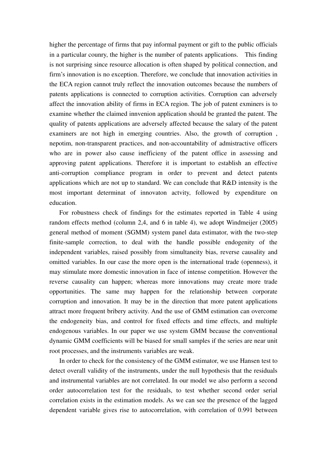higher the percentage of firms that pay informal payment or gift to the public officials in a particular counry, the higher is the number of patents applications. This finding is not surprising since resource allocation is often shaped by political connection, and firm's innovation is no exception. Therefore, we conclude that innovation activities in the ECA region cannot truly reflect the innovation outcomes because the numbers of patents applications is connected to corruption activities. Corruption can adversely affect the innovation ability of firms in ECA region. The job of patent exminers is to examine whether the claimed innvenion application should be granted the patent. The quality of patents applications are adversely affected because the salary of the patent examiners are not high in emerging countries. Also, the growth of corruption , nepotim, non-transparent practices, and non-accountability of admistractive officers who are in power also cause inefficieny of the patent office in assessing and approving patent applications. Therefore it is important to establish an effective anti-corruption compliance program in order to prevent and detect patents applications which are not up to standard. We can conclude that R&D intensity is the most important determinat of innovaton actvity, followed by expenditure on education.

For robustness check of findings for the estimates reported in Table 4 using random effects method (column 2,4, and 6 in table 4), we adopt Windmeijer (2005) general method of moment (SGMM) system panel data estimator, with the two-step finite-sample correction, to deal with the handle possible endogenity of the independent variables, raised possibly from simultaneity bias, reverse causality and omitted variables. In our case the more open is the international trade (openness), it may stimulate more domestic innovation in face of intense competition. However the reverse causality can happen; whereas more innovations may create more trade opportunities. The same may happen for the relationship between corporate corruption and innovation. It may be in the direction that more patent applications attract more frequent bribery activity. And the use of GMM estimation can overcome the endogeneity bias, and control for fixed effects and time effects, and multiple endogenous variables. In our paper we use system GMM because the conventional dynamic GMM coefficients will be biased for small samples if the series are near unit root processes, and the instruments variables are weak.

In order to check for the consistency of the GMM estimator, we use Hansen test to detect overall validity of the instruments, under the null hypothesis that the residuals and instrumental variables are not correlated. In our model we also perform a second order autocorrelation test for the residuals, to test whether second order serial correlation exists in the estimation models. As we can see the presence of the lagged dependent variable gives rise to autocorrelation, with correlation of 0.991 between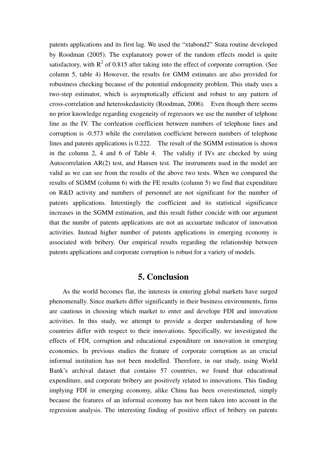patents applications and its first lag. We used the "xtabond2" Stata routine developed by Roodman (2005). The explanatory power of the random effects model is quite satisfactory, with  $R^2$  of 0.815 after taking into the effect of corporate corruption. (See column 5, table 4) However, the results for GMM estimates are also provided for robustness checking because of the potential endogeneity problem. This study uses a two-step estimator, which is asymptotically efficient and robust to any pattern of cross-correlation and heteroskedasticity (Roodman, 2006). Even though there seems no prior knowledge regarding exogeneity of regressors we use the number of telphone line as the IV. The corrleation coefficient between numbers of telephone lines and corruption is -0.573 while the correlation coefficient between numbers of telephone lines and patents applications is 0.222. The result of the SGMM estimation is shown in the column 2, 4 and 6 of Table 4. The validiy if IVs are checked by using Autocorrelation AR(2) test, and Hansen test. The instruments used in the model are valid as we can see from the results of the above two tests. When we compared the results of SGMM (column 6) with the FE results (column 5) we find that expenditure on R&D activity and numbers of personnel are not significant for the number of patents applications. Interstingly the coefficient and its statistical significance increases in the SGMM estimation, and this result futher concide with our argument that the numbr of patents applications are not an accuartate indicator of innovation activities. Instead higher number of patents applications in emerging economy is associated with bribery. Our empirical results regarding the relationship between patents applications and corporate corruption is robust for a variety of models.

## **5. Conclusion**

As the world becomes flat, the interests in entering global markets have surged phenomenally. Since markets differ significantly in their business environments, firms are cautious in choosing which market to enter and develope FDI and innovation activities. In this study, we attempt to provide a deeper understanding of how countries differ with respect to their innovations. Specifically, we investigated the effects of FDI, corruption and educational expenditure on innovation in emerging economies. In previous studies the feature of corporate corruption as an crucial informal institution has not been modelled. Therefore, in our study, using World Bank's archival dataset that contains 57 countries, we found that educational expenditure, and corporate bribery are positively related to innovations. This finding implying FDI in emerging economy, alike China has been overestimeted, simply because the features of an informal economy has not been taken into account in the regression analysis. The interesting finding of positive effect of bribery on patents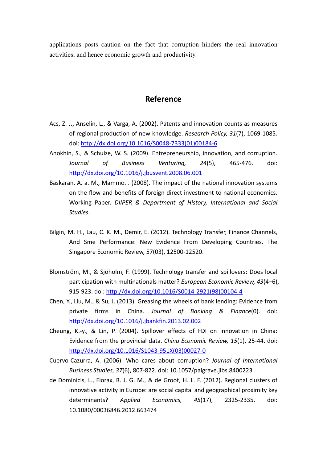applications posts caution on the fact that corruption hinders the real innovation activities, and hence economic growth and productivity.

## **Reference**

- Acs, Z. J., Anselin, L., & Varga, A. (2002). Patents and innovation counts as measures of regional production of new knowledge. *Research Policy, 31*(7), 1069‐1085. doi: http://dx.doi.org/10.1016/S0048‐7333(01)00184‐6
- Anokhin, S., & Schulze, W. S. (2009). Entrepreneurship, innovation, and corruption. *Journal of Business Venturing, 24*(5), 465‐476. doi: http://dx.doi.org/10.1016/j.jbusvent.2008.06.001
- Baskaran, A. a. M., Mammo. . (2008). The impact of the national innovation systems on the flow and benefits of foreign direct investment to national economics. Working Paper. *DIIPER & Department of History, International and Social Studies*.
- Bilgin, M. H., Lau, C. K. M., Demir, E. (2012). Technology Transfer, Finance Channels, And Sme Performance: New Evidence From Developing Countries. The Singapore Economic Review, 57(03), 12500‐12520.
- Blomström, M., & Sjöholm, F. (1999). Technology transfer and spillovers: Does local participation with multinationals matter? *European Economic Review, 43*(4–6), 915‐923. doi: http://dx.doi.org/10.1016/S0014‐2921(98)00104‐4
- Chen, Y., Liu, M., & Su, J. (2013). Greasing the wheels of bank lending: Evidence from private firms in China. *Journal of Banking & Finance*(0). doi: http://dx.doi.org/10.1016/j.jbankfin.2013.02.002
- Cheung, K.‐y., & Lin, P. (2004). Spillover effects of FDI on innovation in China: Evidence from the provincial data. *China Economic Review, 15*(1), 25‐44. doi: http://dx.doi.org/10.1016/S1043‐951X(03)00027‐0
- Cuervo‐Cazurra, A. (2006). Who cares about corruption? *Journal of International Business Studies, 37*(6), 807‐822. doi: 10.1057/palgrave.jibs.8400223
- de Dominicis, L., Florax, R. J. G. M., & de Groot, H. L. F. (2012). Regional clusters of innovative activity in Europe: are social capital and geographical proximity key determinants? *Applied Economics, 45*(17), 2325‐2335. doi: 10.1080/00036846.2012.663474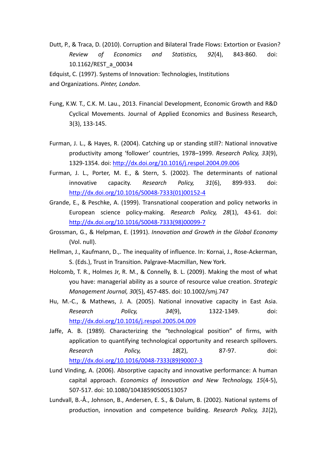Dutt, P., & Traca, D. (2010). Corruption and Bilateral Trade Flows: Extortion or Evasion? *Review of Economics and Statistics, 92*(4), 843‐860. doi: 10.1162/REST\_a\_00034

Edquist, C. (1997). Systems of Innovation: Technologies, Institutions and Organizations. *Pinter, London*.

- Fung, K.W. T., C.K. M. Lau., 2013. Financial Development, Economic Growth and R&D Cyclical Movements. Journal of Applied Economics and Business Research, 3(3), 133‐145.
- Furman, J. L., & Hayes, R. (2004). Catching up or standing still?: National innovative productivity among 'follower' countries, 1978–1999. *Research Policy, 33*(9), 1329‐1354. doi: http://dx.doi.org/10.1016/j.respol.2004.09.006
- Furman, J. L., Porter, M. E., & Stern, S. (2002). The determinants of national innovative capacity. *Research Policy, 31*(6), 899‐933. doi: http://dx.doi.org/10.1016/S0048‐7333(01)00152‐4
- Grande, E., & Peschke, A. (1999). Transnational cooperation and policy networks in European science policy‐making. *Research Policy, 28*(1), 43‐61. doi: http://dx.doi.org/10.1016/S0048‐7333(98)00099‐7
- Grossman, G., & Helpman, E. (1991). *Innovation and Growth in the Global Economy* (Vol. null).
- Hellman, J., Kaufmann, D.,. The inequality of influence. In: Kornai, J., Rose‐Ackerman, S. (Eds.), Trust in Transition. Palgrave‐Macmillan, New York.
- Holcomb, T. R., Holmes Jr, R. M., & Connelly, B. L. (2009). Making the most of what you have: managerial ability as a source of resource value creation. *Strategic Management Journal, 30*(5), 457‐485. doi: 10.1002/smj.747
- Hu, M.‐C., & Mathews, J. A. (2005). National innovative capacity in East Asia. *Research Policy, 34*(9), 1322‐1349. doi: http://dx.doi.org/10.1016/j.respol.2005.04.009
- Jaffe, A. B. (1989). Characterizing the "technological position" of firms, with application to quantifying technological opportunity and research spillovers. *Research Policy, 18*(2), 87‐97. doi: http://dx.doi.org/10.1016/0048‐7333(89)90007‐3
- Lund Vinding, A. (2006). Absorptive capacity and innovative performance: A human capital approach. *Economics of Innovation and New Technology, 15*(4‐5), 507‐517. doi: 10.1080/10438590500513057
- Lundvall, B.‐Å., Johnson, B., Andersen, E. S., & Dalum, B. (2002). National systems of production, innovation and competence building. *Research Policy, 31*(2),